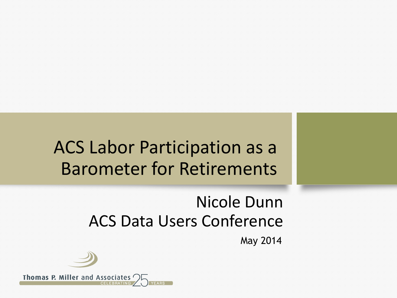### ACS Labor Participation as a Barometer for Retirements

#### Nicole Dunn ACS Data Users Conference

May 2014



Thomas P. Miller and Associates '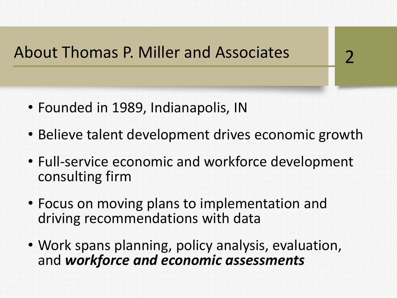About Thomas P. Miller and Associates

- Founded in 1989, Indianapolis, IN
- Believe talent development drives economic growth

2

- Full-service economic and workforce development consulting firm
- Focus on moving plans to implementation and driving recommendations with data
- Work spans planning, policy analysis, evaluation, and *workforce and economic assessments*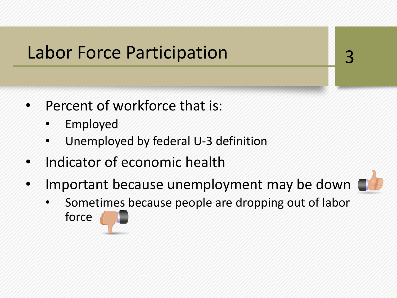#### Labor Force Participation

- Percent of workforce that is:
	- **Employed**
	- Unemployed by federal U-3 definition
- Indicator of economic health
- Important because unemployment may be down



• Sometimes because people are dropping out of labor force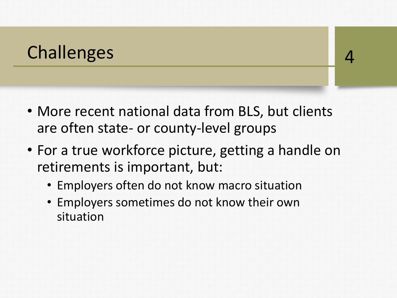### Challenges and the contract of the contract of the contract of the contract of the contract of the contract of the contract of the contract of the contract of the contract of the contract of the contract of the contract of

- More recent national data from BLS, but clients are often state- or county-level groups
- For a true workforce picture, getting a handle on retirements is important, but:
	- Employers often do not know macro situation
	- Employers sometimes do not know their own situation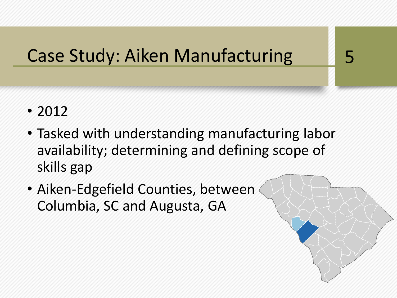## Case Study: Aiken Manufacturing 5

- 2012
- Tasked with understanding manufacturing labor availability; determining and defining scope of skills gap
- Aiken-Edgefield Counties, between Columbia, SC and Augusta, GA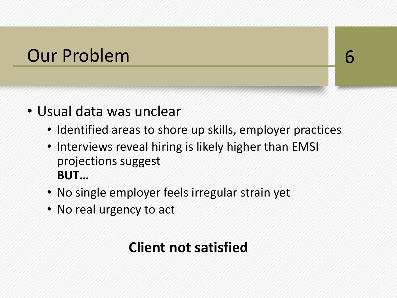#### Our Problem 6

- Usual data was unclear
	- Identified areas to shore up skills, employer practices
	- Interviews reveal hiring is likely higher than EMSI projections suggest **BUT…**
	- No single employer feels irregular strain yet
	- No real urgency to act

#### **Client not satisfied**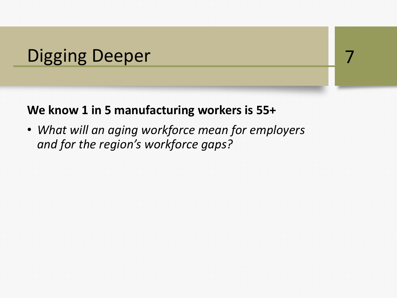### Digging Deeper 7

#### **We know 1 in 5 manufacturing workers is 55+**

• *What will an aging workforce mean for employers and for the region's workforce gaps?*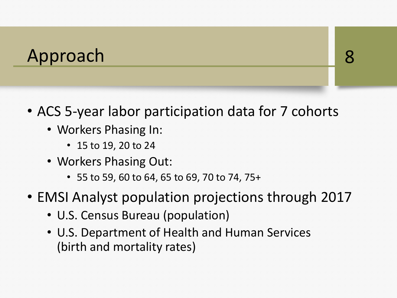#### Approach 8

- ACS 5-year labor participation data for 7 cohorts
	- Workers Phasing In:
		- 15 to 19, 20 to 24
	- Workers Phasing Out:
		- 55 to 59, 60 to 64, 65 to 69, 70 to 74, 75+
- EMSI Analyst population projections through 2017
	- U.S. Census Bureau (population)
	- U.S. Department of Health and Human Services (birth and mortality rates)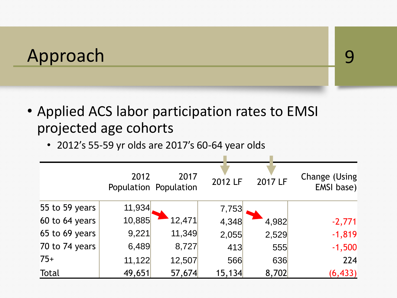#### Approach 9

• Applied ACS labor participation rates to EMSI projected age cohorts

• 2012's 55-59 yr olds are 2017's 60-64 year olds

|                | 2012   | 2017<br>Population Population | 2012 LF | 2017 LF | Change (Using)<br>EMSI base) |
|----------------|--------|-------------------------------|---------|---------|------------------------------|
| 55 to 59 years | 11,934 |                               | 7,753   |         |                              |
| 60 to 64 years | 10,885 | 12,471                        | 4,348   | 4,982   | $-2,771$                     |
| 65 to 69 years | 9,221  | 11,349                        | 2,055   | 2,529   | $-1,819$                     |
| 70 to 74 years | 6,489  | 8,727                         | 413     | 555     | $-1,500$                     |
| $75+$          | 11,122 | 12,507                        | 566     | 636     | 224                          |
| Total          | 49,651 | 57,674                        | 15,134  | 8,702   | (6, 433)                     |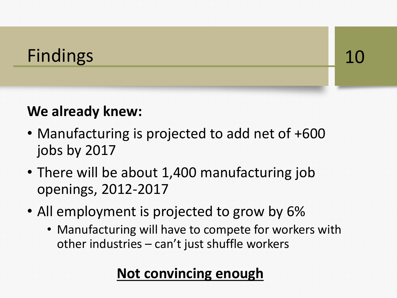### Findings 10

#### **We already knew:**

- Manufacturing is projected to add net of +600 jobs by 2017
- There will be about 1,400 manufacturing job openings, 2012-2017
- All employment is projected to grow by 6%
	- Manufacturing will have to compete for workers with other industries – can't just shuffle workers

#### **Not convincing enough**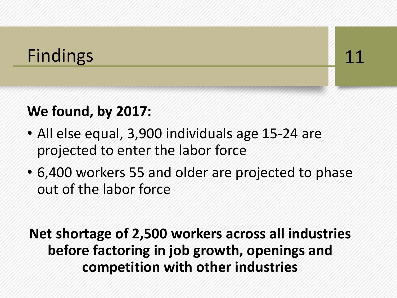### Findings 11

#### **We found, by 2017:**

- All else equal, 3,900 individuals age 15-24 are projected to enter the labor force
- 6,400 workers 55 and older are projected to phase out of the labor force

**Net shortage of 2,500 workers across all industries before factoring in job growth, openings and competition with other industries**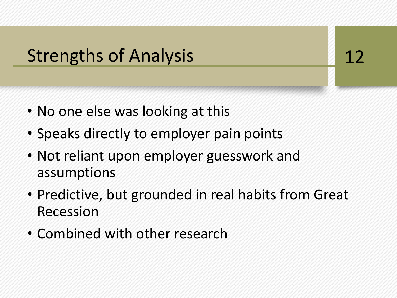### Strengths of Analysis 12

- No one else was looking at this
- Speaks directly to employer pain points
- Not reliant upon employer guesswork and assumptions
- Predictive, but grounded in real habits from Great Recession
- Combined with other research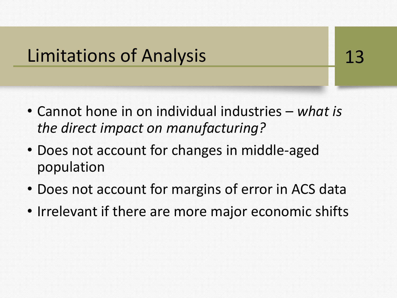#### Limitations of Analysis **13**

- Cannot hone in on individual industries *what is the direct impact on manufacturing?*
- Does not account for changes in middle-aged population
- Does not account for margins of error in ACS data
- Irrelevant if there are more major economic shifts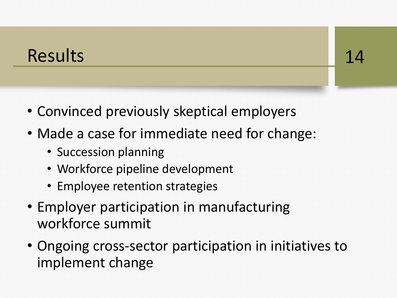#### Results 14

- Convinced previously skeptical employers
- Made a case for immediate need for change:
	- Succession planning
	- Workforce pipeline development
	- Employee retention strategies
- Employer participation in manufacturing workforce summit
- Ongoing cross-sector participation in initiatives to implement change